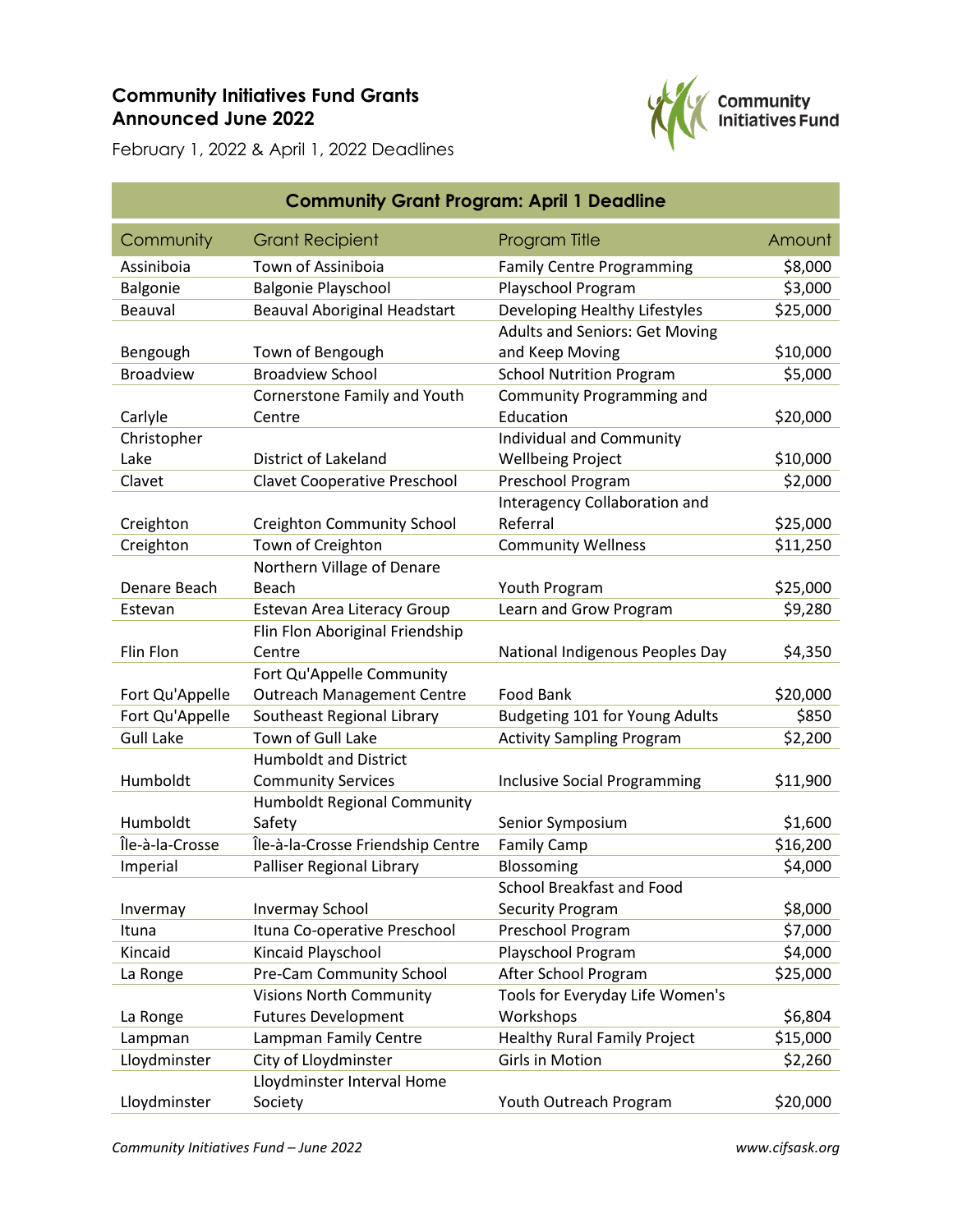## **Community Initiatives Fund Grants Announced June 2022**



February 1, 2022 & April 1, 2022 Deadlines

| <b>Community Grant Program: April 1 Deadline</b> |                                     |                                       |          |
|--------------------------------------------------|-------------------------------------|---------------------------------------|----------|
| Community                                        | <b>Grant Recipient</b>              | <b>Program Title</b>                  | Amount   |
| Assiniboia                                       | Town of Assiniboia                  | <b>Family Centre Programming</b>      | \$8,000  |
| Balgonie                                         | <b>Balgonie Playschool</b>          | Playschool Program                    | \$3,000  |
| Beauval                                          | <b>Beauval Aboriginal Headstart</b> | Developing Healthy Lifestyles         | \$25,000 |
|                                                  |                                     | <b>Adults and Seniors: Get Moving</b> |          |
| Bengough                                         | Town of Bengough                    | and Keep Moving                       | \$10,000 |
| <b>Broadview</b>                                 | <b>Broadview School</b>             | <b>School Nutrition Program</b>       | \$5,000  |
|                                                  | Cornerstone Family and Youth        | Community Programming and             |          |
| Carlyle                                          | Centre                              | Education                             | \$20,000 |
| Christopher                                      |                                     | Individual and Community              |          |
| Lake                                             | District of Lakeland                | <b>Wellbeing Project</b>              | \$10,000 |
| Clavet                                           | <b>Clavet Cooperative Preschool</b> | Preschool Program                     | \$2,000  |
|                                                  |                                     | <b>Interagency Collaboration and</b>  |          |
| Creighton                                        | <b>Creighton Community School</b>   | Referral                              | \$25,000 |
| Creighton                                        | Town of Creighton                   | <b>Community Wellness</b>             | \$11,250 |
|                                                  | Northern Village of Denare          |                                       |          |
| Denare Beach                                     | Beach                               | Youth Program                         | \$25,000 |
| Estevan                                          | Estevan Area Literacy Group         | Learn and Grow Program                | \$9,280  |
|                                                  | Flin Flon Aboriginal Friendship     |                                       |          |
| Flin Flon                                        | Centre                              | National Indigenous Peoples Day       | \$4,350  |
|                                                  | Fort Qu'Appelle Community           |                                       |          |
| Fort Qu'Appelle                                  | <b>Outreach Management Centre</b>   | Food Bank                             | \$20,000 |
| Fort Qu'Appelle                                  | Southeast Regional Library          | Budgeting 101 for Young Adults        | \$850    |
| <b>Gull Lake</b>                                 | Town of Gull Lake                   | <b>Activity Sampling Program</b>      | \$2,200  |
|                                                  | <b>Humboldt and District</b>        |                                       |          |
| Humboldt                                         | <b>Community Services</b>           | <b>Inclusive Social Programming</b>   | \$11,900 |
|                                                  | <b>Humboldt Regional Community</b>  |                                       |          |
| Humboldt                                         | Safety                              | Senior Symposium                      | \$1,600  |
| Île-à-la-Crosse                                  | Île-à-la-Crosse Friendship Centre   | <b>Family Camp</b>                    | \$16,200 |
| Imperial                                         | Palliser Regional Library           | Blossoming                            | \$4,000  |
|                                                  |                                     | School Breakfast and Food             |          |
| Invermay                                         | <b>Invermay School</b>              | <b>Security Program</b>               | \$8,000  |
| Ituna                                            | Ituna Co-operative Preschool        | Preschool Program                     | \$7,000  |
| Kincaid                                          | Kincaid Playschool                  | Playschool Program                    | \$4,000  |
| La Ronge                                         | Pre-Cam Community School            | After School Program                  | \$25,000 |
|                                                  | <b>Visions North Community</b>      | Tools for Everyday Life Women's       |          |
| La Ronge                                         | <b>Futures Development</b>          | Workshops                             | \$6,804  |
| Lampman                                          | Lampman Family Centre               | <b>Healthy Rural Family Project</b>   | \$15,000 |
| Lloydminster                                     | City of Lloydminster                | <b>Girls in Motion</b>                | \$2,260  |
|                                                  | Lloydminster Interval Home          |                                       |          |
| Lloydminster                                     | Society                             | Youth Outreach Program                | \$20,000 |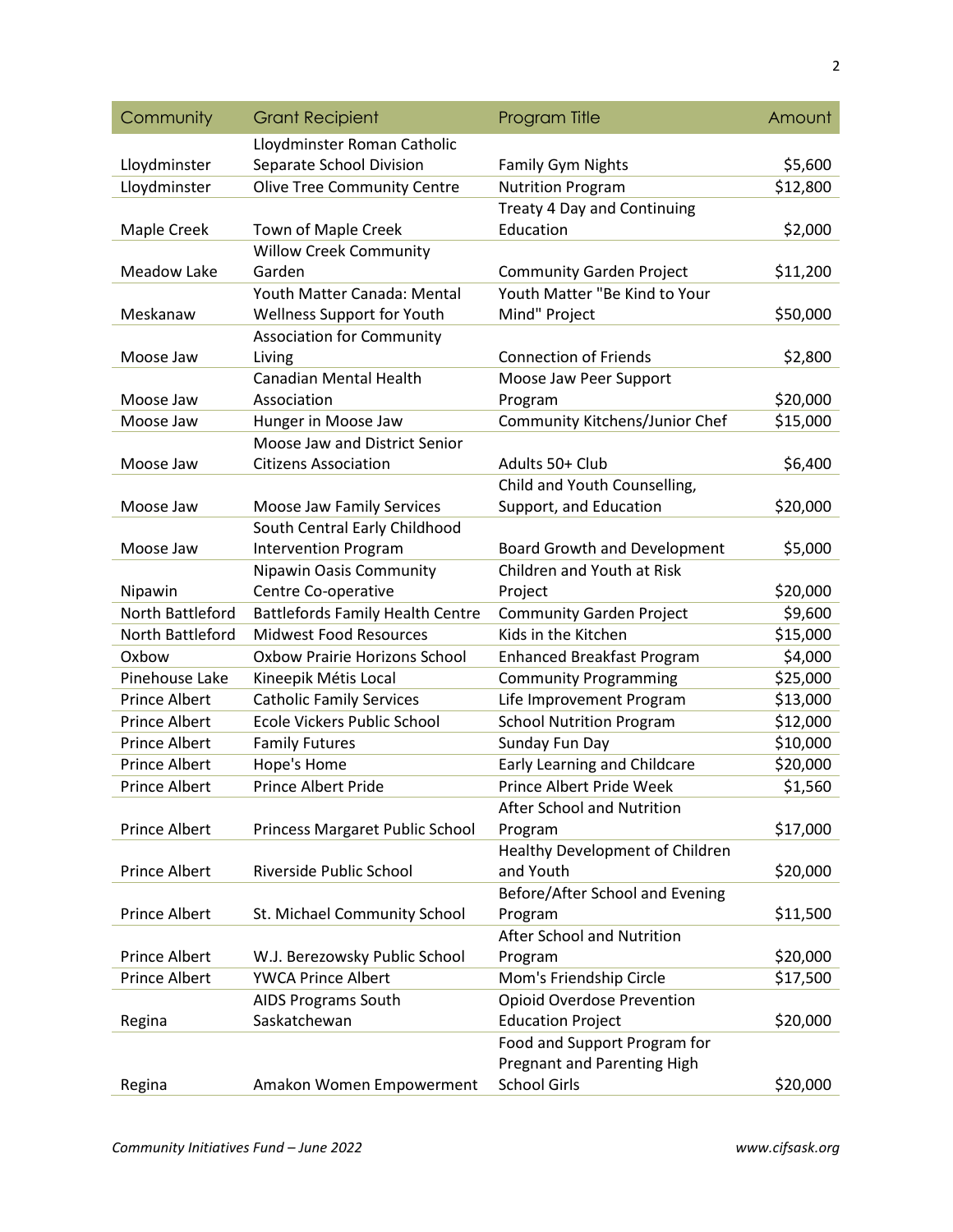| Community            | <b>Grant Recipient</b>                  | <b>Program Title</b>               | Amount   |
|----------------------|-----------------------------------------|------------------------------------|----------|
|                      | Lloydminster Roman Catholic             |                                    |          |
| Lloydminster         | Separate School Division                | <b>Family Gym Nights</b>           | \$5,600  |
| Lloydminster         | <b>Olive Tree Community Centre</b>      | <b>Nutrition Program</b>           | \$12,800 |
|                      |                                         | <b>Treaty 4 Day and Continuing</b> |          |
| Maple Creek          | Town of Maple Creek                     | Education                          | \$2,000  |
|                      | <b>Willow Creek Community</b>           |                                    |          |
| <b>Meadow Lake</b>   | Garden                                  | <b>Community Garden Project</b>    | \$11,200 |
|                      | Youth Matter Canada: Mental             | Youth Matter "Be Kind to Your      |          |
| Meskanaw             | Wellness Support for Youth              | Mind" Project                      | \$50,000 |
|                      | <b>Association for Community</b>        |                                    |          |
| Moose Jaw            | Living                                  | <b>Connection of Friends</b>       | \$2,800  |
|                      | <b>Canadian Mental Health</b>           | Moose Jaw Peer Support             |          |
| Moose Jaw            | Association                             | Program                            | \$20,000 |
| Moose Jaw            | Hunger in Moose Jaw                     | Community Kitchens/Junior Chef     | \$15,000 |
|                      | Moose Jaw and District Senior           |                                    |          |
| Moose Jaw            | <b>Citizens Association</b>             | Adults 50+ Club                    | \$6,400  |
|                      |                                         | Child and Youth Counselling,       |          |
| Moose Jaw            | Moose Jaw Family Services               | Support, and Education             | \$20,000 |
|                      | South Central Early Childhood           |                                    |          |
| Moose Jaw            | <b>Intervention Program</b>             | Board Growth and Development       | \$5,000  |
|                      | <b>Nipawin Oasis Community</b>          | Children and Youth at Risk         |          |
| Nipawin              | Centre Co-operative                     | Project                            | \$20,000 |
| North Battleford     | <b>Battlefords Family Health Centre</b> | <b>Community Garden Project</b>    | \$9,600  |
| North Battleford     | <b>Midwest Food Resources</b>           | Kids in the Kitchen                | \$15,000 |
| Oxbow                | <b>Oxbow Prairie Horizons School</b>    | <b>Enhanced Breakfast Program</b>  | \$4,000  |
| Pinehouse Lake       | Kineepik Métis Local                    | <b>Community Programming</b>       | \$25,000 |
| Prince Albert        | <b>Catholic Family Services</b>         | Life Improvement Program           | \$13,000 |
| <b>Prince Albert</b> | Ecole Vickers Public School             | <b>School Nutrition Program</b>    | \$12,000 |
| <b>Prince Albert</b> | <b>Family Futures</b>                   | Sunday Fun Day                     | \$10,000 |
| Prince Albert        | Hope's Home                             | Early Learning and Childcare       | \$20,000 |
| <b>Prince Albert</b> | <b>Prince Albert Pride</b>              | Prince Albert Pride Week           | \$1,560  |
|                      |                                         | <b>After School and Nutrition</b>  |          |
| Prince Albert        | Princess Margaret Public School         | Program                            | \$17,000 |
|                      |                                         | Healthy Development of Children    |          |
| <b>Prince Albert</b> | Riverside Public School                 | and Youth                          | \$20,000 |
|                      |                                         | Before/After School and Evening    |          |
| Prince Albert        | St. Michael Community School            | Program                            | \$11,500 |
|                      |                                         | After School and Nutrition         |          |
| Prince Albert        | W.J. Berezowsky Public School           | Program                            | \$20,000 |
| Prince Albert        | <b>YWCA Prince Albert</b>               | Mom's Friendship Circle            | \$17,500 |
|                      | AIDS Programs South                     | <b>Opioid Overdose Prevention</b>  |          |
| Regina               | Saskatchewan                            | <b>Education Project</b>           | \$20,000 |
|                      |                                         | Food and Support Program for       |          |
|                      |                                         | <b>Pregnant and Parenting High</b> |          |
| Regina               | Amakon Women Empowerment                | <b>School Girls</b>                | \$20,000 |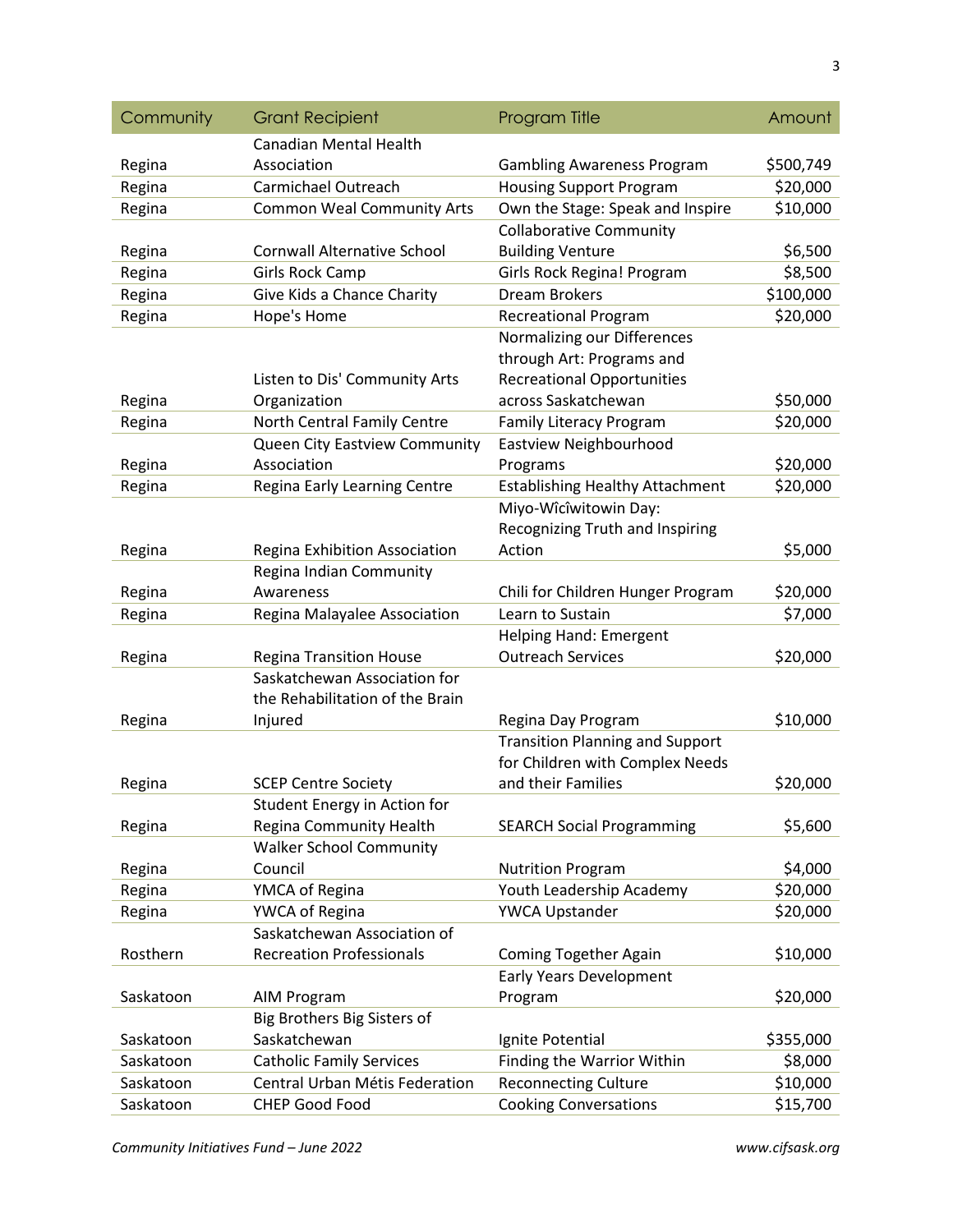| Community | <b>Grant Recipient</b>             | Program Title                          | Amount    |
|-----------|------------------------------------|----------------------------------------|-----------|
|           | <b>Canadian Mental Health</b>      |                                        |           |
| Regina    | Association                        | <b>Gambling Awareness Program</b>      | \$500,749 |
| Regina    | Carmichael Outreach                | <b>Housing Support Program</b>         | \$20,000  |
| Regina    | <b>Common Weal Community Arts</b>  | Own the Stage: Speak and Inspire       | \$10,000  |
|           |                                    | <b>Collaborative Community</b>         |           |
| Regina    | <b>Cornwall Alternative School</b> | <b>Building Venture</b>                | \$6,500   |
| Regina    | <b>Girls Rock Camp</b>             | Girls Rock Regina! Program             | \$8,500   |
| Regina    | Give Kids a Chance Charity         | <b>Dream Brokers</b>                   | \$100,000 |
| Regina    | Hope's Home                        | <b>Recreational Program</b>            | \$20,000  |
|           |                                    | Normalizing our Differences            |           |
|           |                                    | through Art: Programs and              |           |
|           | Listen to Dis' Community Arts      | <b>Recreational Opportunities</b>      |           |
| Regina    | Organization                       | across Saskatchewan                    | \$50,000  |
| Regina    | North Central Family Centre        | <b>Family Literacy Program</b>         | \$20,000  |
|           | Queen City Eastview Community      | Eastview Neighbourhood                 |           |
| Regina    | Association                        | Programs                               | \$20,000  |
| Regina    | Regina Early Learning Centre       | <b>Establishing Healthy Attachment</b> | \$20,000  |
|           |                                    | Miyo-Wîcîwitowin Day:                  |           |
|           |                                    | Recognizing Truth and Inspiring        |           |
| Regina    | Regina Exhibition Association      | Action                                 | \$5,000   |
|           | Regina Indian Community            |                                        |           |
| Regina    | Awareness                          | Chili for Children Hunger Program      | \$20,000  |
| Regina    | Regina Malayalee Association       | Learn to Sustain                       | \$7,000   |
|           |                                    | Helping Hand: Emergent                 |           |
| Regina    | <b>Regina Transition House</b>     | <b>Outreach Services</b>               | \$20,000  |
|           | Saskatchewan Association for       |                                        |           |
|           | the Rehabilitation of the Brain    |                                        |           |
| Regina    | Injured                            | Regina Day Program                     | \$10,000  |
|           |                                    | <b>Transition Planning and Support</b> |           |
|           |                                    | for Children with Complex Needs        |           |
| Regina    | <b>SCEP Centre Society</b>         | and their Families                     | \$20,000  |
|           | Student Energy in Action for       |                                        |           |
| Regina    | <b>Regina Community Health</b>     | <b>SEARCH Social Programming</b>       | \$5,600   |
|           | <b>Walker School Community</b>     |                                        |           |
| Regina    | Council                            | <b>Nutrition Program</b>               | \$4,000   |
| Regina    | YMCA of Regina                     | Youth Leadership Academy               | \$20,000  |
| Regina    | YWCA of Regina                     | YWCA Upstander                         | \$20,000  |
|           | Saskatchewan Association of        |                                        |           |
| Rosthern  | <b>Recreation Professionals</b>    | Coming Together Again                  | \$10,000  |
|           |                                    | Early Years Development                |           |
| Saskatoon | AIM Program                        | Program                                | \$20,000  |
|           | Big Brothers Big Sisters of        |                                        |           |
| Saskatoon | Saskatchewan                       | Ignite Potential                       | \$355,000 |
| Saskatoon | <b>Catholic Family Services</b>    | Finding the Warrior Within             | \$8,000   |
| Saskatoon | Central Urban Métis Federation     | <b>Reconnecting Culture</b>            | \$10,000  |
| Saskatoon | <b>CHEP Good Food</b>              | <b>Cooking Conversations</b>           | \$15,700  |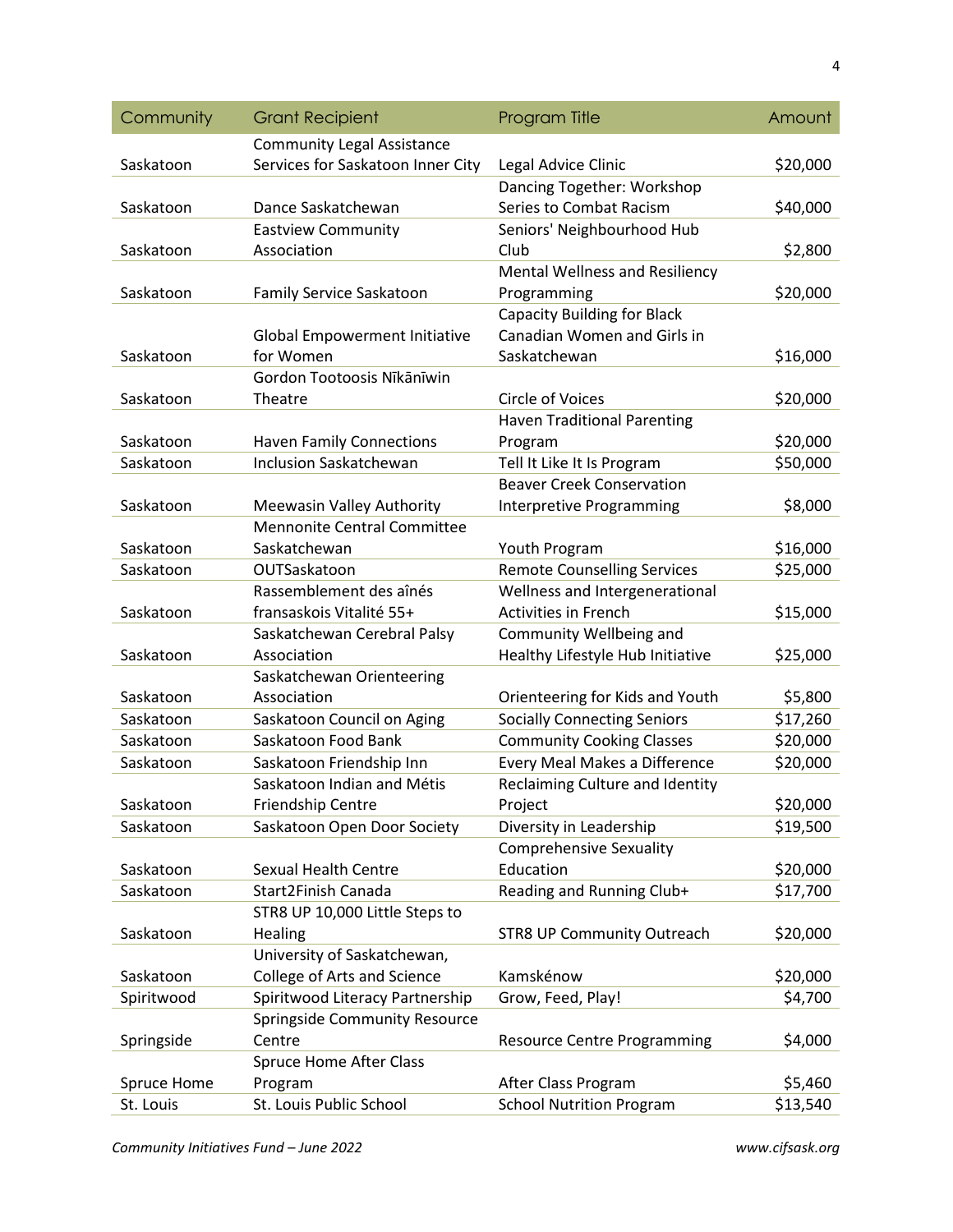| Community   | <b>Grant Recipient</b>               | <b>Program Title</b>                  | Amount   |
|-------------|--------------------------------------|---------------------------------------|----------|
|             | <b>Community Legal Assistance</b>    |                                       |          |
| Saskatoon   | Services for Saskatoon Inner City    | Legal Advice Clinic                   | \$20,000 |
|             |                                      | Dancing Together: Workshop            |          |
| Saskatoon   | Dance Saskatchewan                   | Series to Combat Racism               | \$40,000 |
|             | <b>Eastview Community</b>            | Seniors' Neighbourhood Hub            |          |
| Saskatoon   | Association                          | Club                                  | \$2,800  |
|             |                                      | <b>Mental Wellness and Resiliency</b> |          |
| Saskatoon   | Family Service Saskatoon             | Programming                           | \$20,000 |
|             |                                      | <b>Capacity Building for Black</b>    |          |
|             | <b>Global Empowerment Initiative</b> | Canadian Women and Girls in           |          |
| Saskatoon   | for Women                            | Saskatchewan                          | \$16,000 |
|             | Gordon Tootoosis Nīkānīwin           |                                       |          |
| Saskatoon   | Theatre                              | <b>Circle of Voices</b>               | \$20,000 |
|             |                                      | <b>Haven Traditional Parenting</b>    |          |
| Saskatoon   | <b>Haven Family Connections</b>      | Program                               | \$20,000 |
| Saskatoon   | <b>Inclusion Saskatchewan</b>        | Tell It Like It Is Program            | \$50,000 |
|             |                                      | <b>Beaver Creek Conservation</b>      |          |
| Saskatoon   | Meewasin Valley Authority            | <b>Interpretive Programming</b>       | \$8,000  |
|             | <b>Mennonite Central Committee</b>   |                                       |          |
| Saskatoon   | Saskatchewan                         | Youth Program                         | \$16,000 |
| Saskatoon   | OUTSaskatoon                         | <b>Remote Counselling Services</b>    | \$25,000 |
|             | Rassemblement des aînés              | Wellness and Intergenerational        |          |
| Saskatoon   | fransaskois Vitalité 55+             | <b>Activities in French</b>           | \$15,000 |
|             | Saskatchewan Cerebral Palsy          | Community Wellbeing and               |          |
| Saskatoon   | Association                          | Healthy Lifestyle Hub Initiative      | \$25,000 |
|             | Saskatchewan Orienteering            |                                       |          |
| Saskatoon   | Association                          | Orienteering for Kids and Youth       | \$5,800  |
| Saskatoon   | Saskatoon Council on Aging           | <b>Socially Connecting Seniors</b>    | \$17,260 |
| Saskatoon   | Saskatoon Food Bank                  | <b>Community Cooking Classes</b>      | \$20,000 |
| Saskatoon   | Saskatoon Friendship Inn             | Every Meal Makes a Difference         | \$20,000 |
|             | Saskatoon Indian and Métis           | Reclaiming Culture and Identity       |          |
| Saskatoon   | Friendship Centre                    | Project                               | \$20,000 |
| Saskatoon   | Saskatoon Open Door Society          | Diversity in Leadership               | \$19,500 |
|             |                                      | <b>Comprehensive Sexuality</b>        |          |
| Saskatoon   | <b>Sexual Health Centre</b>          | Education                             | \$20,000 |
| Saskatoon   | Start2Finish Canada                  | Reading and Running Club+             | \$17,700 |
|             | STR8 UP 10,000 Little Steps to       |                                       |          |
| Saskatoon   | Healing                              | <b>STR8 UP Community Outreach</b>     | \$20,000 |
|             | University of Saskatchewan,          |                                       |          |
| Saskatoon   | College of Arts and Science          | Kamskénow                             | \$20,000 |
| Spiritwood  | Spiritwood Literacy Partnership      | Grow, Feed, Play!                     | \$4,700  |
|             | Springside Community Resource        |                                       |          |
| Springside  | Centre                               | <b>Resource Centre Programming</b>    | \$4,000  |
|             | <b>Spruce Home After Class</b>       |                                       |          |
| Spruce Home | Program                              | After Class Program                   | \$5,460  |
| St. Louis   | St. Louis Public School              | <b>School Nutrition Program</b>       | \$13,540 |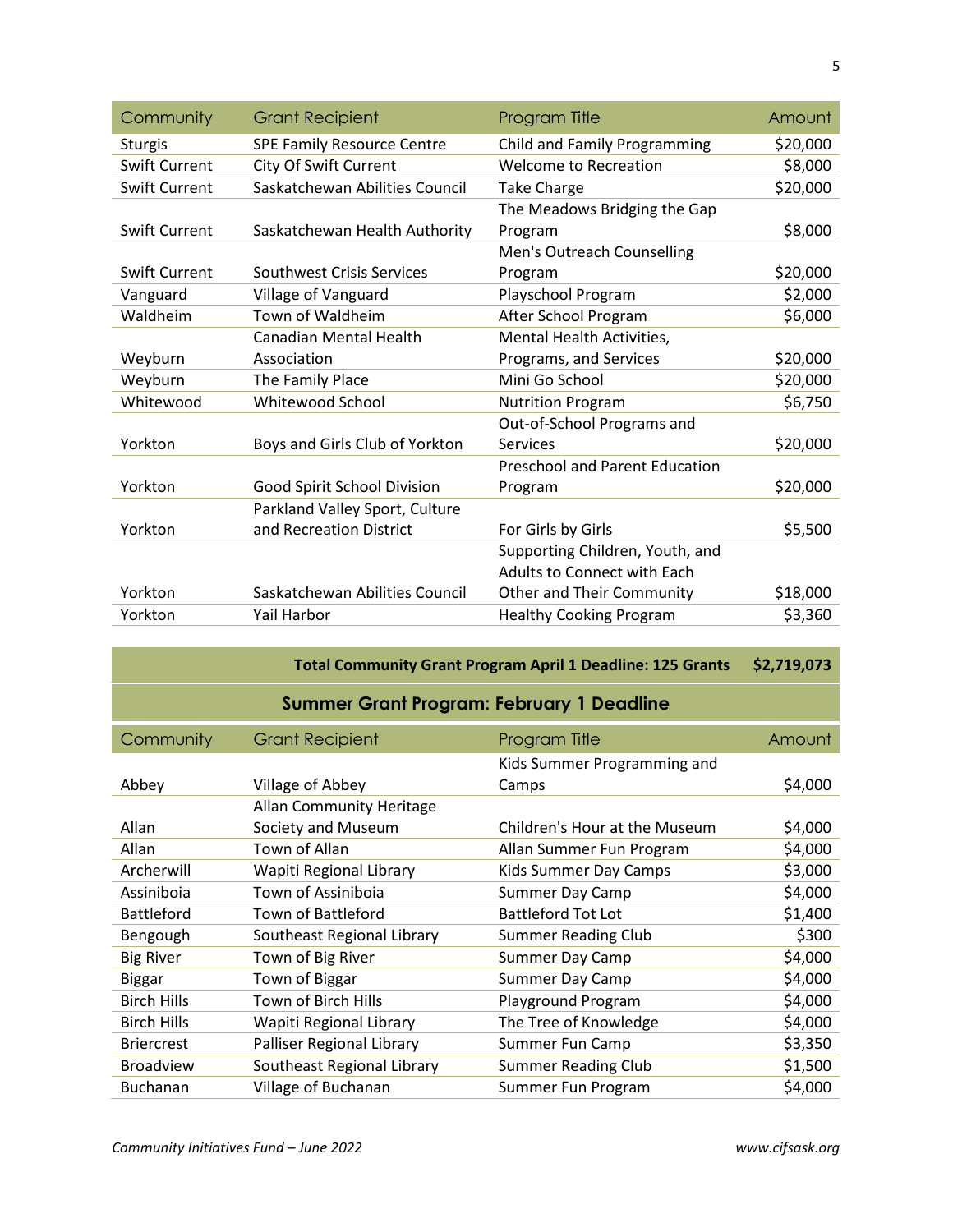| Community            | <b>Grant Recipient</b>            | Program Title                         | Amount   |
|----------------------|-----------------------------------|---------------------------------------|----------|
| <b>Sturgis</b>       | <b>SPE Family Resource Centre</b> | <b>Child and Family Programming</b>   | \$20,000 |
| <b>Swift Current</b> | City Of Swift Current             | <b>Welcome to Recreation</b>          | \$8,000  |
| <b>Swift Current</b> | Saskatchewan Abilities Council    | <b>Take Charge</b>                    | \$20,000 |
|                      |                                   | The Meadows Bridging the Gap          |          |
| <b>Swift Current</b> | Saskatchewan Health Authority     | Program                               | \$8,000  |
|                      |                                   | Men's Outreach Counselling            |          |
| <b>Swift Current</b> | Southwest Crisis Services         | Program                               | \$20,000 |
| Vanguard             | Village of Vanguard               | Playschool Program                    | \$2,000  |
| Waldheim             | Town of Waldheim                  | After School Program                  | \$6,000  |
|                      | <b>Canadian Mental Health</b>     | Mental Health Activities,             |          |
| Weyburn              | Association                       | Programs, and Services                | \$20,000 |
| Weyburn              | The Family Place                  | Mini Go School                        | \$20,000 |
| Whitewood            | Whitewood School                  | <b>Nutrition Program</b>              | \$6,750  |
|                      |                                   | Out-of-School Programs and            |          |
| Yorkton              | Boys and Girls Club of Yorkton    | Services                              | \$20,000 |
|                      |                                   | <b>Preschool and Parent Education</b> |          |
| Yorkton              | Good Spirit School Division       | Program                               | \$20,000 |
|                      | Parkland Valley Sport, Culture    |                                       |          |
| Yorkton              | and Recreation District           | For Girls by Girls                    | \$5,500  |
|                      |                                   | Supporting Children, Youth, and       |          |
|                      |                                   | Adults to Connect with Each           |          |
| Yorkton              | Saskatchewan Abilities Council    | Other and Their Community             | \$18,000 |
| Yorkton              | Yail Harbor                       | <b>Healthy Cooking Program</b>        | \$3,360  |

| <b>Total Community Grant Program April 1 Deadline: 125 Grants</b> |                                                  |                               | \$2,719,073 |  |
|-------------------------------------------------------------------|--------------------------------------------------|-------------------------------|-------------|--|
|                                                                   | <b>Summer Grant Program: February 1 Deadline</b> |                               |             |  |
| Community                                                         | <b>Grant Recipient</b>                           | Program Title                 | Amount      |  |
|                                                                   |                                                  | Kids Summer Programming and   |             |  |
| Abbey                                                             | Village of Abbey                                 | Camps                         | \$4,000     |  |
|                                                                   | Allan Community Heritage                         |                               |             |  |
| Allan                                                             | Society and Museum                               | Children's Hour at the Museum | \$4,000     |  |
| Allan                                                             | Town of Allan                                    | Allan Summer Fun Program      | \$4,000     |  |
| Archerwill                                                        | Wapiti Regional Library                          | Kids Summer Day Camps         | \$3,000     |  |
| Assiniboia                                                        | Town of Assiniboia                               | <b>Summer Day Camp</b>        | \$4,000     |  |
| <b>Battleford</b>                                                 | Town of Battleford                               | <b>Battleford Tot Lot</b>     | \$1,400     |  |
| Bengough                                                          | Southeast Regional Library                       | <b>Summer Reading Club</b>    | \$300       |  |
| <b>Big River</b>                                                  | Town of Big River                                | <b>Summer Day Camp</b>        | \$4,000     |  |
| <b>Biggar</b>                                                     | Town of Biggar                                   | <b>Summer Day Camp</b>        | \$4,000     |  |
| <b>Birch Hills</b>                                                | Town of Birch Hills                              | Playground Program            | \$4,000     |  |
| <b>Birch Hills</b>                                                | Wapiti Regional Library                          | The Tree of Knowledge         | \$4,000     |  |
| <b>Briercrest</b>                                                 | Palliser Regional Library                        | Summer Fun Camp               | \$3,350     |  |
| <b>Broadview</b>                                                  | Southeast Regional Library                       | <b>Summer Reading Club</b>    | \$1,500     |  |
| <b>Buchanan</b>                                                   | Village of Buchanan                              | Summer Fun Program            | \$4,000     |  |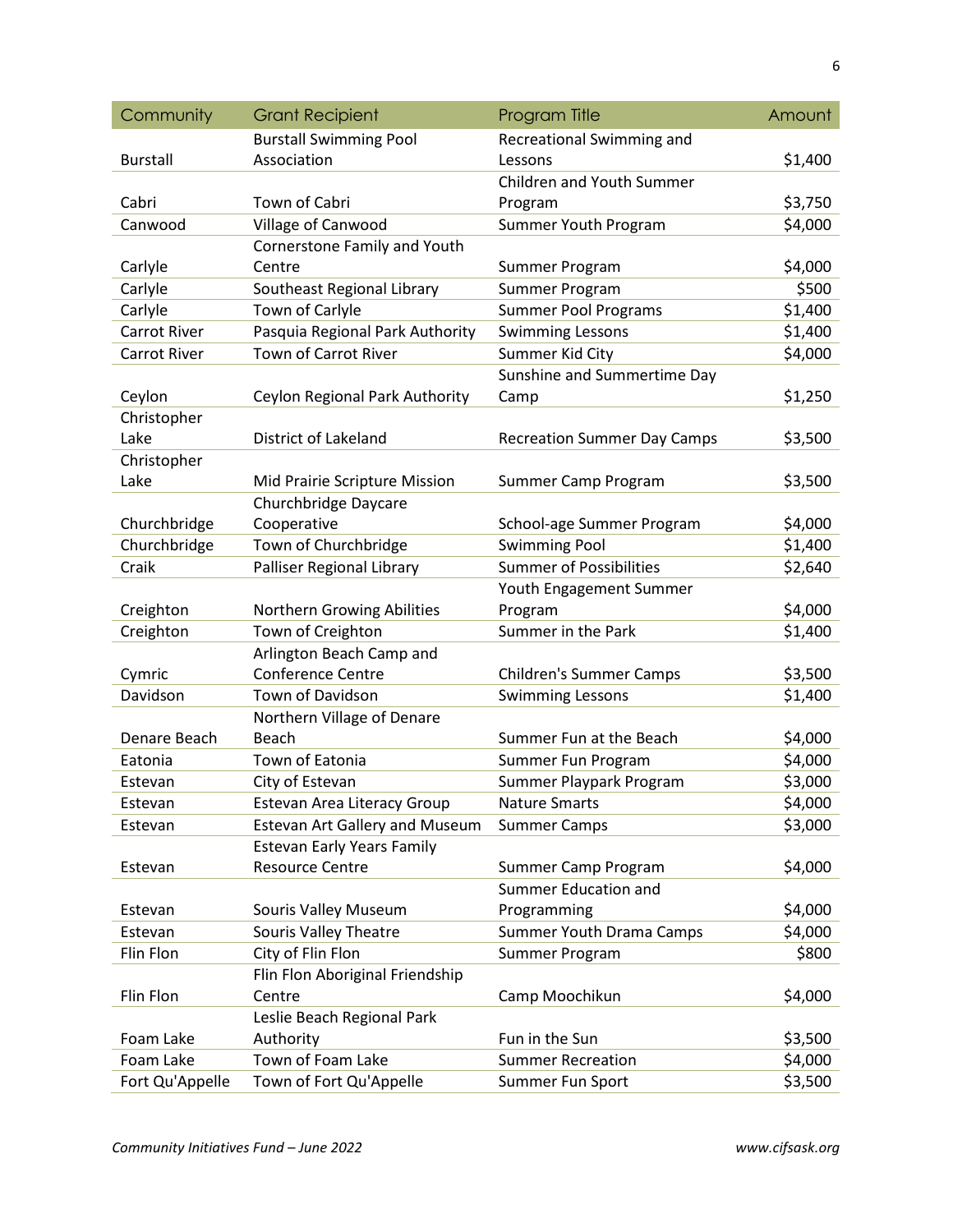| Community          | <b>Grant Recipient</b>                                      | Program Title                               | Amount  |
|--------------------|-------------------------------------------------------------|---------------------------------------------|---------|
|                    | <b>Burstall Swimming Pool</b>                               | Recreational Swimming and                   |         |
| <b>Burstall</b>    | Association                                                 | Lessons                                     | \$1,400 |
|                    |                                                             | <b>Children and Youth Summer</b>            |         |
| Cabri              | Town of Cabri                                               | Program                                     | \$3,750 |
| Canwood            | Village of Canwood                                          | Summer Youth Program                        | \$4,000 |
|                    | Cornerstone Family and Youth                                |                                             |         |
| Carlyle            | Centre                                                      | Summer Program                              | \$4,000 |
| Carlyle            | Southeast Regional Library                                  | Summer Program                              | \$500   |
| Carlyle            | Town of Carlyle                                             | <b>Summer Pool Programs</b>                 | \$1,400 |
| Carrot River       | Pasquia Regional Park Authority                             | <b>Swimming Lessons</b>                     | \$1,400 |
| Carrot River       | Town of Carrot River                                        | Summer Kid City                             | \$4,000 |
|                    |                                                             | Sunshine and Summertime Day                 |         |
| Ceylon             | Ceylon Regional Park Authority                              | Camp                                        | \$1,250 |
| Christopher        |                                                             |                                             |         |
| Lake               | District of Lakeland                                        | <b>Recreation Summer Day Camps</b>          | \$3,500 |
| Christopher        |                                                             |                                             |         |
| Lake               | Mid Prairie Scripture Mission                               | Summer Camp Program                         | \$3,500 |
|                    | Churchbridge Daycare                                        |                                             |         |
| Churchbridge       | Cooperative                                                 | School-age Summer Program                   | \$4,000 |
| Churchbridge       | Town of Churchbridge                                        | <b>Swimming Pool</b>                        | \$1,400 |
| Craik              | Palliser Regional Library                                   | <b>Summer of Possibilities</b>              | \$2,640 |
|                    |                                                             | Youth Engagement Summer                     |         |
| Creighton          | Northern Growing Abilities                                  | Program                                     | \$4,000 |
| Creighton          | Town of Creighton                                           | Summer in the Park                          | \$1,400 |
|                    | Arlington Beach Camp and                                    |                                             |         |
| Cymric             | <b>Conference Centre</b>                                    | <b>Children's Summer Camps</b>              | \$3,500 |
| Davidson           | Town of Davidson                                            | <b>Swimming Lessons</b>                     | \$1,400 |
|                    | Northern Village of Denare                                  | Summer Fun at the Beach                     |         |
| Denare Beach       | Beach                                                       |                                             | \$4,000 |
| Eatonia            | Town of Eatonia                                             | Summer Fun Program                          | \$4,000 |
| Estevan            | City of Estevan                                             | Summer Playpark Program                     | \$3,000 |
| Estevan            | <b>Estevan Area Literacy Group</b>                          | <b>Nature Smarts</b>                        | \$4,000 |
| Estevan            | <b>Estevan Art Gallery and Museum</b>                       | <b>Summer Camps</b>                         | \$3,000 |
|                    | <b>Estevan Early Years Family</b><br><b>Resource Centre</b> |                                             |         |
| Estevan            |                                                             | Summer Camp Program<br>Summer Education and | \$4,000 |
|                    |                                                             | Programming                                 | \$4,000 |
| Estevan<br>Estevan | Souris Valley Museum<br>Souris Valley Theatre               |                                             | \$4,000 |
| Flin Flon          | City of Flin Flon                                           | Summer Youth Drama Camps                    | \$800   |
|                    | Flin Flon Aboriginal Friendship                             | Summer Program                              |         |
| Flin Flon          | Centre                                                      | Camp Moochikun                              | \$4,000 |
|                    | Leslie Beach Regional Park                                  |                                             |         |
| Foam Lake          | Authority                                                   | Fun in the Sun                              | \$3,500 |
| Foam Lake          | Town of Foam Lake                                           | <b>Summer Recreation</b>                    | \$4,000 |
| Fort Qu'Appelle    | Town of Fort Qu'Appelle                                     | Summer Fun Sport                            | \$3,500 |
|                    |                                                             |                                             |         |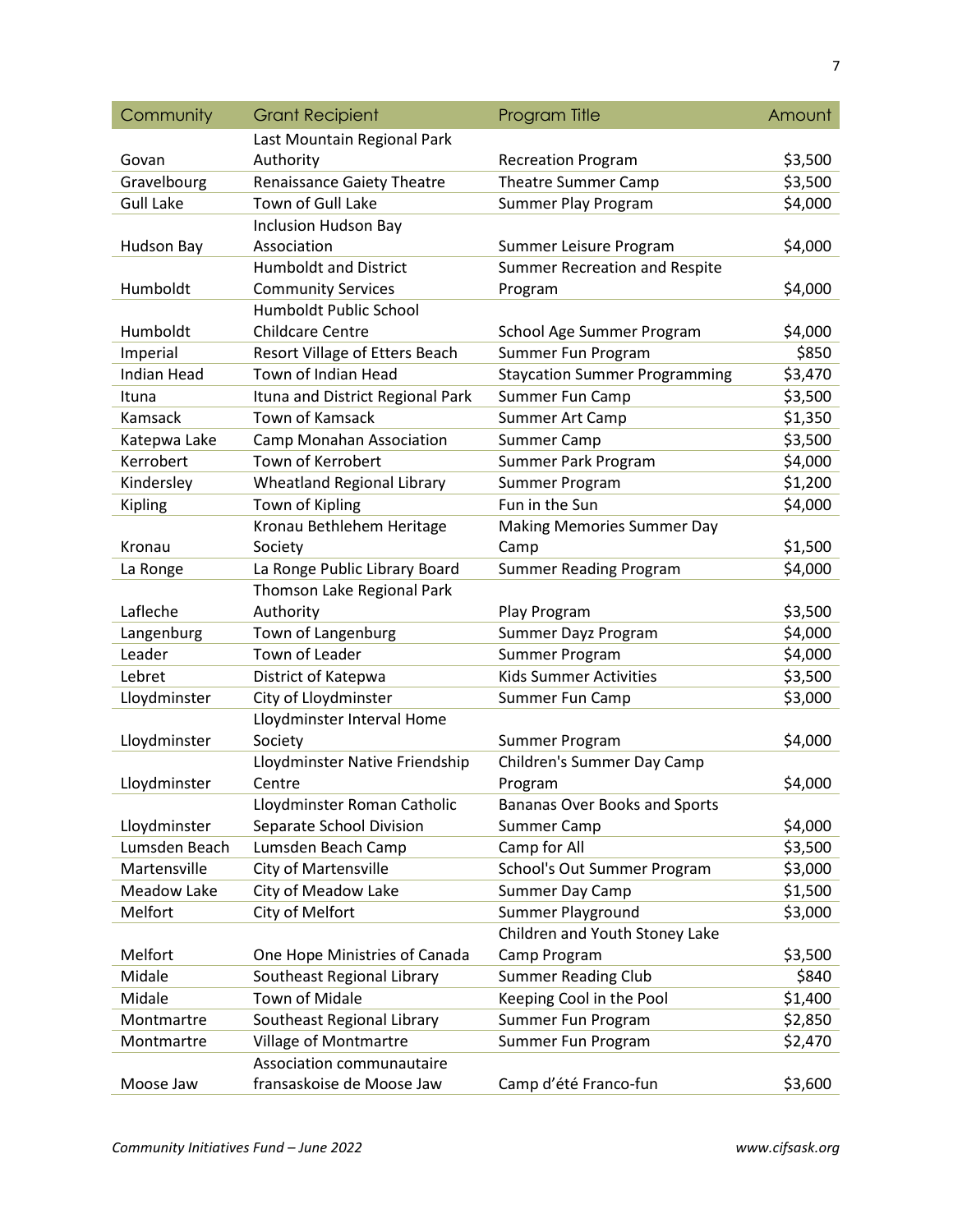| Community          | <b>Grant Recipient</b>            | Program Title                        | Amount  |
|--------------------|-----------------------------------|--------------------------------------|---------|
|                    | Last Mountain Regional Park       |                                      |         |
| Govan              | Authority                         | <b>Recreation Program</b>            | \$3,500 |
| Gravelbourg        | <b>Renaissance Gaiety Theatre</b> | <b>Theatre Summer Camp</b>           | \$3,500 |
| <b>Gull Lake</b>   | Town of Gull Lake                 | Summer Play Program                  | \$4,000 |
|                    | <b>Inclusion Hudson Bay</b>       |                                      |         |
| Hudson Bay         | Association                       | Summer Leisure Program               | \$4,000 |
|                    | <b>Humboldt and District</b>      | Summer Recreation and Respite        |         |
| Humboldt           | <b>Community Services</b>         | Program                              | \$4,000 |
|                    | <b>Humboldt Public School</b>     |                                      |         |
| Humboldt           | <b>Childcare Centre</b>           | School Age Summer Program            | \$4,000 |
| Imperial           | Resort Village of Etters Beach    | Summer Fun Program                   | \$850   |
| <b>Indian Head</b> | Town of Indian Head               | <b>Staycation Summer Programming</b> | \$3,470 |
| Ituna              | Ituna and District Regional Park  | Summer Fun Camp                      | \$3,500 |
| Kamsack            | <b>Town of Kamsack</b>            | Summer Art Camp                      | \$1,350 |
| Katepwa Lake       | <b>Camp Monahan Association</b>   | Summer Camp                          | \$3,500 |
| Kerrobert          | Town of Kerrobert                 | Summer Park Program                  | \$4,000 |
| Kindersley         | <b>Wheatland Regional Library</b> | Summer Program                       | \$1,200 |
| Kipling            | Town of Kipling                   | Fun in the Sun                       | \$4,000 |
|                    | Kronau Bethlehem Heritage         | <b>Making Memories Summer Day</b>    |         |
| Kronau             | Society                           | Camp                                 | \$1,500 |
| La Ronge           | La Ronge Public Library Board     | <b>Summer Reading Program</b>        | \$4,000 |
|                    | Thomson Lake Regional Park        |                                      |         |
| Lafleche           | Authority                         | Play Program                         | \$3,500 |
| Langenburg         | Town of Langenburg                | Summer Dayz Program                  | \$4,000 |
| Leader             | <b>Town of Leader</b>             | Summer Program                       | \$4,000 |
| Lebret             | District of Katepwa               | <b>Kids Summer Activities</b>        | \$3,500 |
| Lloydminster       | City of Lloydminster              | Summer Fun Camp                      | \$3,000 |
|                    | Lloydminster Interval Home        |                                      |         |
| Lloydminster       | Society                           | Summer Program                       | \$4,000 |
|                    | Lloydminster Native Friendship    | Children's Summer Day Camp           |         |
| Lloydminster       | Centre                            | Program                              | \$4,000 |
|                    | Lloydminster Roman Catholic       | <b>Bananas Over Books and Sports</b> |         |
| Lloydminster       | Separate School Division          | <b>Summer Camp</b>                   | \$4,000 |
| Lumsden Beach      | Lumsden Beach Camp                | Camp for All                         | \$3,500 |
| Martensville       | City of Martensville              | School's Out Summer Program          | \$3,000 |
| Meadow Lake        | City of Meadow Lake               | Summer Day Camp                      | \$1,500 |
| Melfort            | City of Melfort                   | Summer Playground                    | \$3,000 |
|                    |                                   | Children and Youth Stoney Lake       |         |
| Melfort            | One Hope Ministries of Canada     | Camp Program                         | \$3,500 |
| Midale             | Southeast Regional Library        | <b>Summer Reading Club</b>           | \$840   |
| Midale             | <b>Town of Midale</b>             | Keeping Cool in the Pool             | \$1,400 |
| Montmartre         | Southeast Regional Library        | Summer Fun Program                   | \$2,850 |
| Montmartre         | Village of Montmartre             | Summer Fun Program                   | \$2,470 |
|                    | Association communautaire         |                                      |         |
| Moose Jaw          | fransaskoise de Moose Jaw         | Camp d'été Franco-fun                | \$3,600 |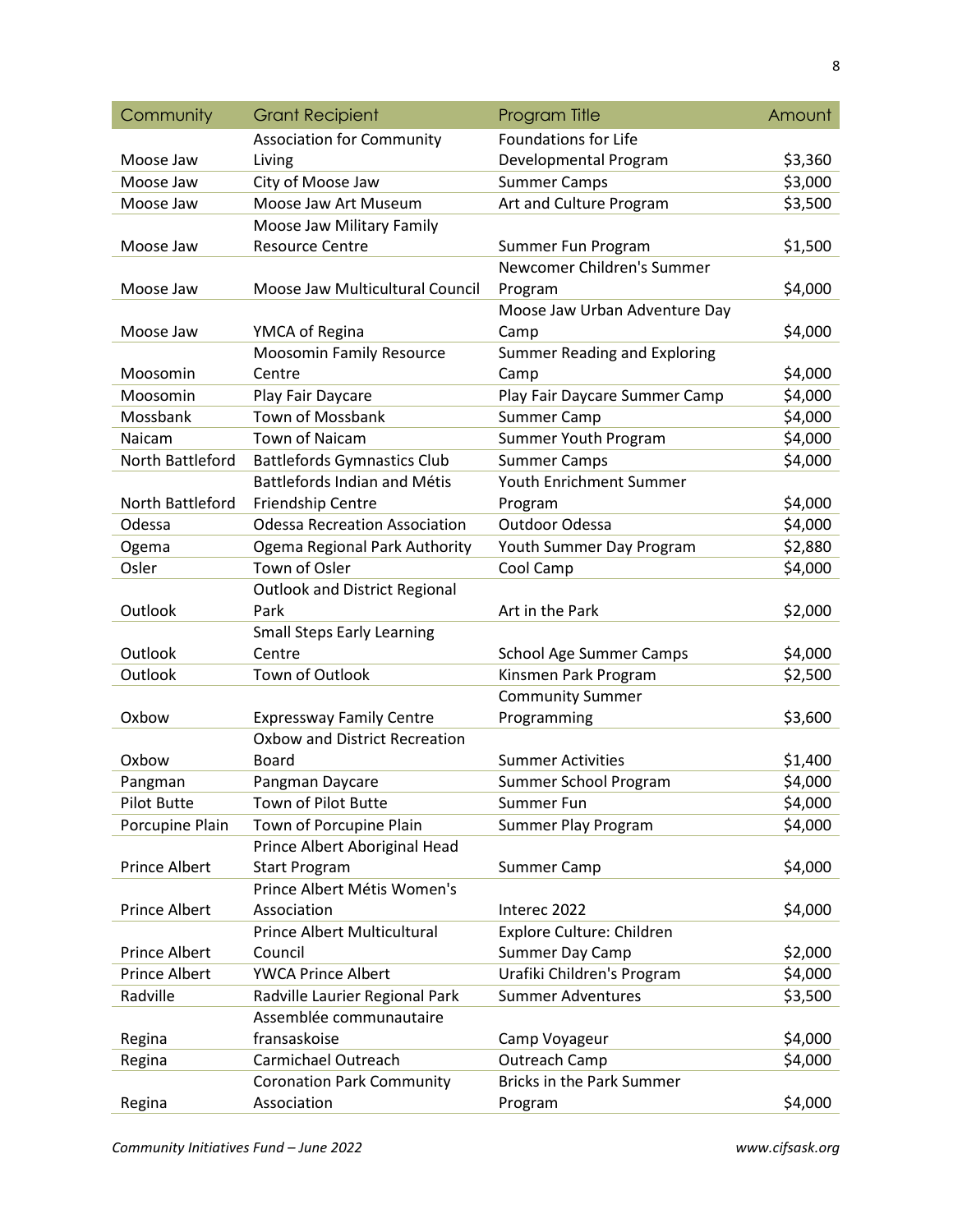| Community            | <b>Grant Recipient</b>               | Program Title                    | Amount  |
|----------------------|--------------------------------------|----------------------------------|---------|
|                      | <b>Association for Community</b>     | <b>Foundations for Life</b>      |         |
| Moose Jaw            | Living                               | Developmental Program            | \$3,360 |
| Moose Jaw            | City of Moose Jaw                    | <b>Summer Camps</b>              | \$3,000 |
| Moose Jaw            | Moose Jaw Art Museum                 | Art and Culture Program          | \$3,500 |
|                      | Moose Jaw Military Family            |                                  |         |
| Moose Jaw            | <b>Resource Centre</b>               | Summer Fun Program               | \$1,500 |
|                      |                                      | Newcomer Children's Summer       |         |
| Moose Jaw            | Moose Jaw Multicultural Council      | Program                          | \$4,000 |
|                      |                                      | Moose Jaw Urban Adventure Day    |         |
| Moose Jaw            | YMCA of Regina                       | Camp                             | \$4,000 |
|                      | Moosomin Family Resource             | Summer Reading and Exploring     |         |
| Moosomin             | Centre                               | Camp                             | \$4,000 |
| Moosomin             | Play Fair Daycare                    | Play Fair Daycare Summer Camp    | \$4,000 |
| Mossbank             | Town of Mossbank                     | <b>Summer Camp</b>               | \$4,000 |
| Naicam               | <b>Town of Naicam</b>                | Summer Youth Program             | \$4,000 |
| North Battleford     | <b>Battlefords Gymnastics Club</b>   | <b>Summer Camps</b>              | \$4,000 |
|                      | <b>Battlefords Indian and Métis</b>  | Youth Enrichment Summer          |         |
| North Battleford     | Friendship Centre                    | Program                          | \$4,000 |
| Odessa               | <b>Odessa Recreation Association</b> | Outdoor Odessa                   | \$4,000 |
| Ogema                | Ogema Regional Park Authority        | Youth Summer Day Program         | \$2,880 |
| Osler                | Town of Osler                        | Cool Camp                        | \$4,000 |
|                      | <b>Outlook and District Regional</b> |                                  |         |
| Outlook              | Park                                 | Art in the Park                  | \$2,000 |
|                      | <b>Small Steps Early Learning</b>    |                                  |         |
| Outlook              | Centre                               | <b>School Age Summer Camps</b>   | \$4,000 |
| Outlook              | Town of Outlook                      | Kinsmen Park Program             | \$2,500 |
|                      |                                      | <b>Community Summer</b>          |         |
| Oxbow                | <b>Expressway Family Centre</b>      | Programming                      | \$3,600 |
|                      | Oxbow and District Recreation        |                                  |         |
| Oxbow                | Board                                | <b>Summer Activities</b>         | \$1,400 |
| Pangman              | Pangman Daycare                      | Summer School Program            | \$4,000 |
| <b>Pilot Butte</b>   | Town of Pilot Butte                  | Summer Fun                       | \$4,000 |
| Porcupine Plain      | Town of Porcupine Plain              | Summer Play Program              | \$4,000 |
|                      | Prince Albert Aboriginal Head        |                                  |         |
| Prince Albert        | <b>Start Program</b>                 | Summer Camp                      | \$4,000 |
|                      | Prince Albert Métis Women's          |                                  |         |
| <b>Prince Albert</b> | Association                          | Interec 2022                     | \$4,000 |
|                      | <b>Prince Albert Multicultural</b>   | Explore Culture: Children        |         |
| <b>Prince Albert</b> | Council                              | Summer Day Camp                  | \$2,000 |
| <b>Prince Albert</b> | <b>YWCA Prince Albert</b>            | Urafiki Children's Program       | \$4,000 |
| Radville             | Radville Laurier Regional Park       | <b>Summer Adventures</b>         | \$3,500 |
|                      | Assemblée communautaire              |                                  |         |
| Regina               | fransaskoise                         | Camp Voyageur                    | \$4,000 |
| Regina               | Carmichael Outreach                  | Outreach Camp                    | \$4,000 |
|                      | <b>Coronation Park Community</b>     | <b>Bricks in the Park Summer</b> |         |
| Regina               | Association                          | Program                          | \$4,000 |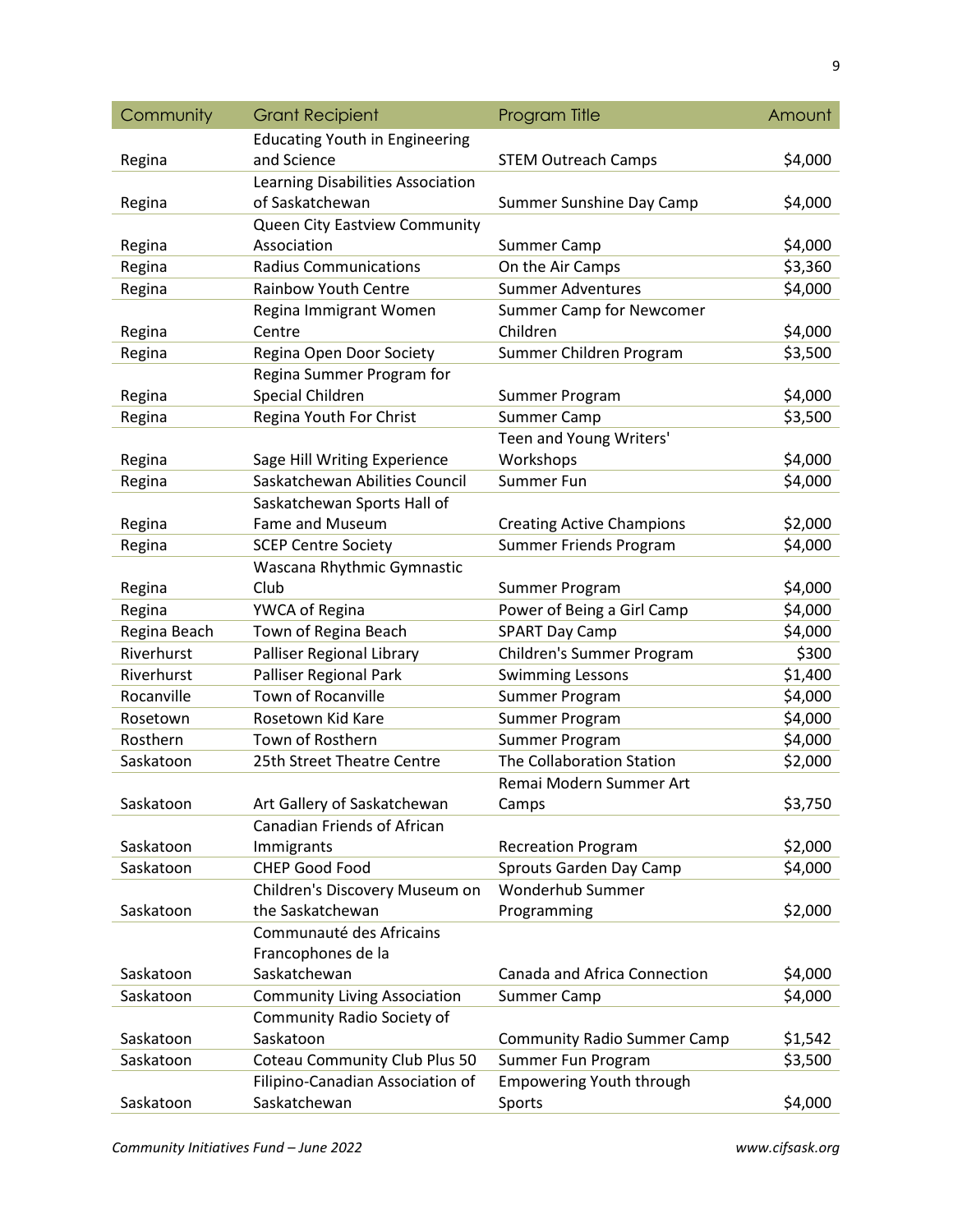| Community    | <b>Grant Recipient</b>                                | Program Title                                                     | Amount  |
|--------------|-------------------------------------------------------|-------------------------------------------------------------------|---------|
|              | <b>Educating Youth in Engineering</b>                 |                                                                   |         |
| Regina       | and Science                                           | <b>STEM Outreach Camps</b>                                        | \$4,000 |
|              | Learning Disabilities Association                     |                                                                   |         |
| Regina       | of Saskatchewan                                       | Summer Sunshine Day Camp                                          | \$4,000 |
|              | Queen City Eastview Community                         |                                                                   |         |
| Regina       | Association                                           | Summer Camp                                                       | \$4,000 |
| Regina       | <b>Radius Communications</b>                          | On the Air Camps                                                  | \$3,360 |
| Regina       | <b>Rainbow Youth Centre</b>                           | <b>Summer Adventures</b>                                          | \$4,000 |
|              | Regina Immigrant Women                                | Summer Camp for Newcomer                                          |         |
| Regina       | Centre                                                | Children                                                          | \$4,000 |
| Regina       | Regina Open Door Society                              | Summer Children Program                                           | \$3,500 |
|              | Regina Summer Program for                             |                                                                   |         |
| Regina       | Special Children                                      | Summer Program                                                    | \$4,000 |
| Regina       | Regina Youth For Christ                               | Summer Camp                                                       | \$3,500 |
|              |                                                       | Teen and Young Writers'                                           |         |
| Regina       | Sage Hill Writing Experience                          | Workshops                                                         | \$4,000 |
| Regina       | Saskatchewan Abilities Council                        | Summer Fun                                                        | \$4,000 |
|              | Saskatchewan Sports Hall of<br><b>Fame and Museum</b> |                                                                   | \$2,000 |
| Regina       | <b>SCEP Centre Society</b>                            | <b>Creating Active Champions</b><br><b>Summer Friends Program</b> | \$4,000 |
| Regina       | Wascana Rhythmic Gymnastic                            |                                                                   |         |
| Regina       | Club                                                  | Summer Program                                                    | \$4,000 |
| Regina       | YWCA of Regina                                        | Power of Being a Girl Camp                                        | \$4,000 |
| Regina Beach | Town of Regina Beach                                  | <b>SPART Day Camp</b>                                             | \$4,000 |
| Riverhurst   | Palliser Regional Library                             | Children's Summer Program                                         | \$300   |
| Riverhurst   | Palliser Regional Park                                | <b>Swimming Lessons</b>                                           | \$1,400 |
| Rocanville   | <b>Town of Rocanville</b>                             | Summer Program                                                    | \$4,000 |
| Rosetown     | Rosetown Kid Kare                                     | Summer Program                                                    | \$4,000 |
| Rosthern     | Town of Rosthern                                      | Summer Program                                                    | \$4,000 |
| Saskatoon    | 25th Street Theatre Centre                            | The Collaboration Station                                         | \$2,000 |
|              |                                                       | Remai Modern Summer Art                                           |         |
| Saskatoon    | Art Gallery of Saskatchewan                           | Camps                                                             | \$3,750 |
|              | Canadian Friends of African                           |                                                                   |         |
| Saskatoon    | Immigrants                                            | <b>Recreation Program</b>                                         | \$2,000 |
| Saskatoon    | <b>CHEP Good Food</b>                                 | Sprouts Garden Day Camp                                           | \$4,000 |
|              | Children's Discovery Museum on                        | Wonderhub Summer                                                  |         |
| Saskatoon    | the Saskatchewan                                      | Programming                                                       | \$2,000 |
|              | Communauté des Africains                              |                                                                   |         |
|              | Francophones de la                                    |                                                                   |         |
| Saskatoon    | Saskatchewan                                          | Canada and Africa Connection                                      | \$4,000 |
| Saskatoon    | <b>Community Living Association</b>                   | Summer Camp                                                       | \$4,000 |
|              | Community Radio Society of                            |                                                                   |         |
| Saskatoon    | Saskatoon                                             | <b>Community Radio Summer Camp</b>                                | \$1,542 |
| Saskatoon    | Coteau Community Club Plus 50                         | Summer Fun Program                                                | \$3,500 |
|              | Filipino-Canadian Association of                      | <b>Empowering Youth through</b>                                   |         |
| Saskatoon    | Saskatchewan                                          | Sports                                                            | \$4,000 |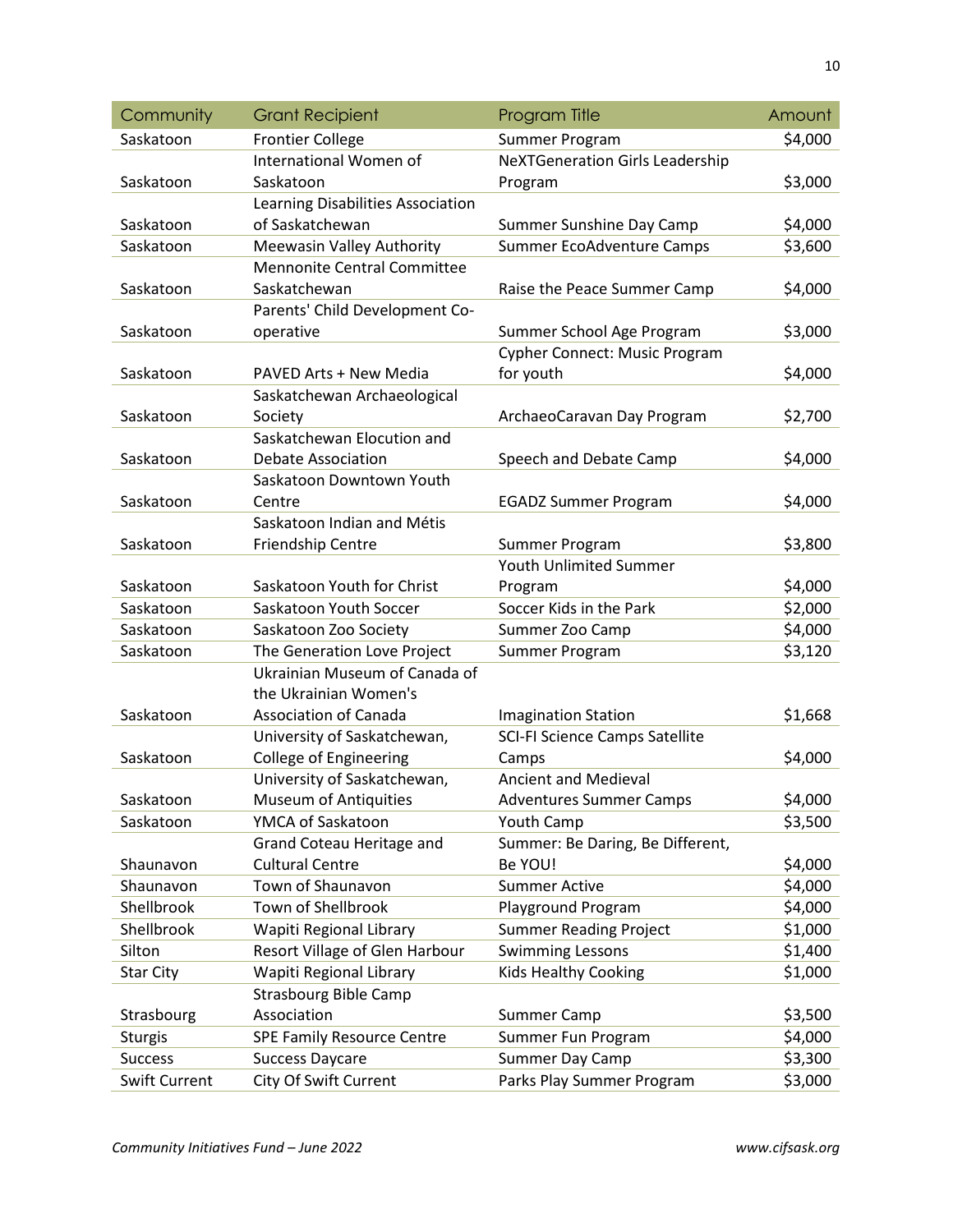| Community            | <b>Grant Recipient</b>             | Program Title                          | Amount  |
|----------------------|------------------------------------|----------------------------------------|---------|
| Saskatoon            | <b>Frontier College</b>            | Summer Program                         | \$4,000 |
|                      | International Women of             | <b>NeXTGeneration Girls Leadership</b> |         |
| Saskatoon            | Saskatoon                          | Program                                | \$3,000 |
|                      | Learning Disabilities Association  |                                        |         |
| Saskatoon            | of Saskatchewan                    | Summer Sunshine Day Camp               | \$4,000 |
| Saskatoon            | Meewasin Valley Authority          | Summer EcoAdventure Camps              | \$3,600 |
|                      | <b>Mennonite Central Committee</b> |                                        |         |
| Saskatoon            | Saskatchewan                       | Raise the Peace Summer Camp            | \$4,000 |
|                      | Parents' Child Development Co-     |                                        |         |
| Saskatoon            | operative                          | Summer School Age Program              | \$3,000 |
|                      |                                    | <b>Cypher Connect: Music Program</b>   |         |
| Saskatoon            | PAVED Arts + New Media             | for youth                              | \$4,000 |
|                      | Saskatchewan Archaeological        |                                        |         |
| Saskatoon            | Society                            | ArchaeoCaravan Day Program             | \$2,700 |
|                      | Saskatchewan Elocution and         |                                        |         |
| Saskatoon            | <b>Debate Association</b>          | Speech and Debate Camp                 | \$4,000 |
|                      | Saskatoon Downtown Youth           |                                        |         |
| Saskatoon            | Centre                             | <b>EGADZ Summer Program</b>            | \$4,000 |
|                      | Saskatoon Indian and Métis         |                                        |         |
| Saskatoon            | Friendship Centre                  | Summer Program                         | \$3,800 |
|                      |                                    | Youth Unlimited Summer                 |         |
| Saskatoon            | Saskatoon Youth for Christ         | Program                                | \$4,000 |
| Saskatoon            | Saskatoon Youth Soccer             | Soccer Kids in the Park                | \$2,000 |
| Saskatoon            | Saskatoon Zoo Society              | Summer Zoo Camp                        | \$4,000 |
| Saskatoon            | The Generation Love Project        | Summer Program                         | \$3,120 |
|                      | Ukrainian Museum of Canada of      |                                        |         |
|                      | the Ukrainian Women's              |                                        |         |
| Saskatoon            | <b>Association of Canada</b>       | <b>Imagination Station</b>             | \$1,668 |
|                      | University of Saskatchewan,        | SCI-FI Science Camps Satellite         |         |
| Saskatoon            | <b>College of Engineering</b>      | Camps                                  | \$4,000 |
|                      | University of Saskatchewan,        | <b>Ancient and Medieval</b>            |         |
| Saskatoon            | Museum of Antiquities              | <b>Adventures Summer Camps</b>         | \$4,000 |
| Saskatoon            | YMCA of Saskatoon                  | <b>Youth Camp</b>                      | \$3,500 |
|                      | Grand Coteau Heritage and          | Summer: Be Daring, Be Different,       |         |
| Shaunavon            | <b>Cultural Centre</b>             | Be YOU!                                | \$4,000 |
| Shaunavon            | Town of Shaunavon                  | <b>Summer Active</b>                   | \$4,000 |
| Shellbrook           | Town of Shellbrook                 | Playground Program                     | \$4,000 |
| Shellbrook           | Wapiti Regional Library            | <b>Summer Reading Project</b>          | \$1,000 |
| Silton               | Resort Village of Glen Harbour     | <b>Swimming Lessons</b>                | \$1,400 |
| <b>Star City</b>     | Wapiti Regional Library            | <b>Kids Healthy Cooking</b>            | \$1,000 |
|                      | <b>Strasbourg Bible Camp</b>       |                                        |         |
| Strasbourg           | Association                        | Summer Camp                            | \$3,500 |
| <b>Sturgis</b>       | <b>SPE Family Resource Centre</b>  | Summer Fun Program                     | \$4,000 |
| <b>Success</b>       | <b>Success Daycare</b>             | Summer Day Camp                        | \$3,300 |
| <b>Swift Current</b> | City Of Swift Current              | Parks Play Summer Program              | \$3,000 |

10